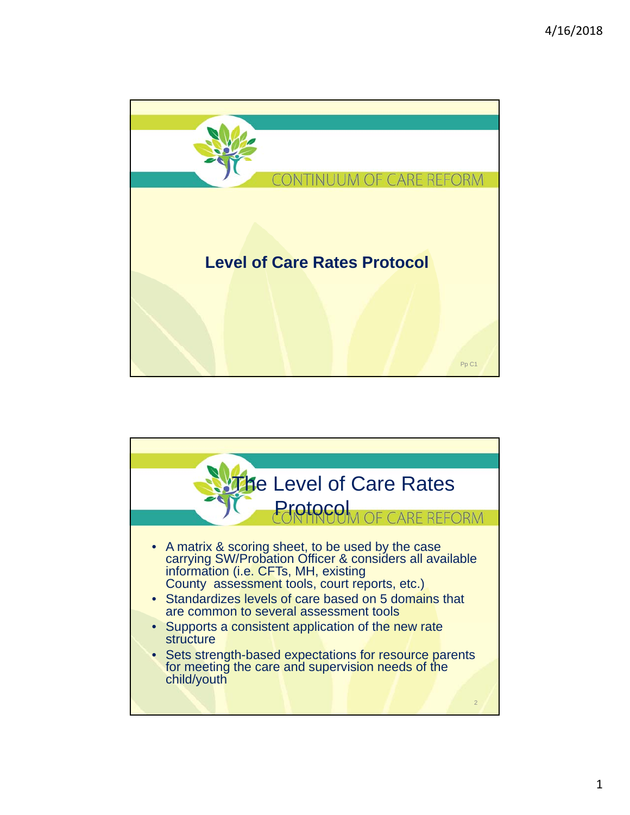

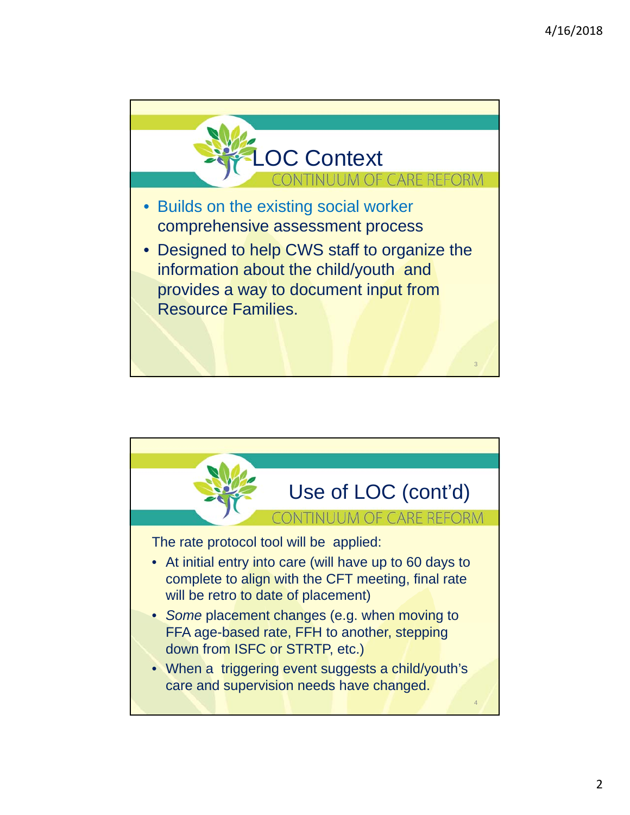

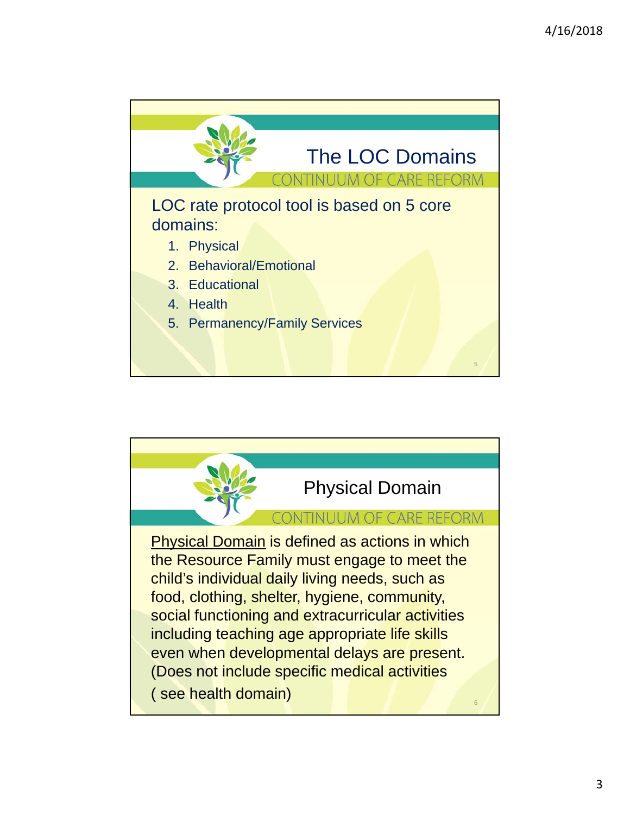

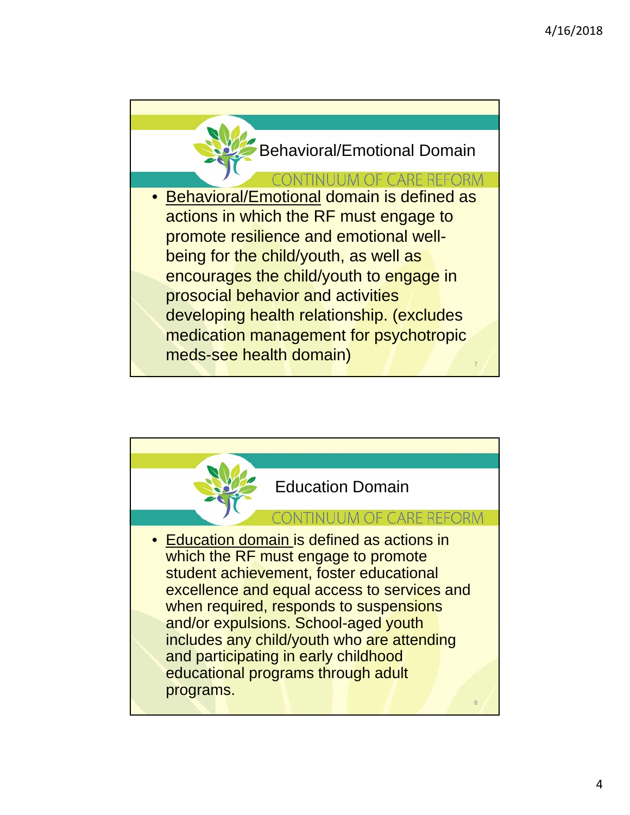

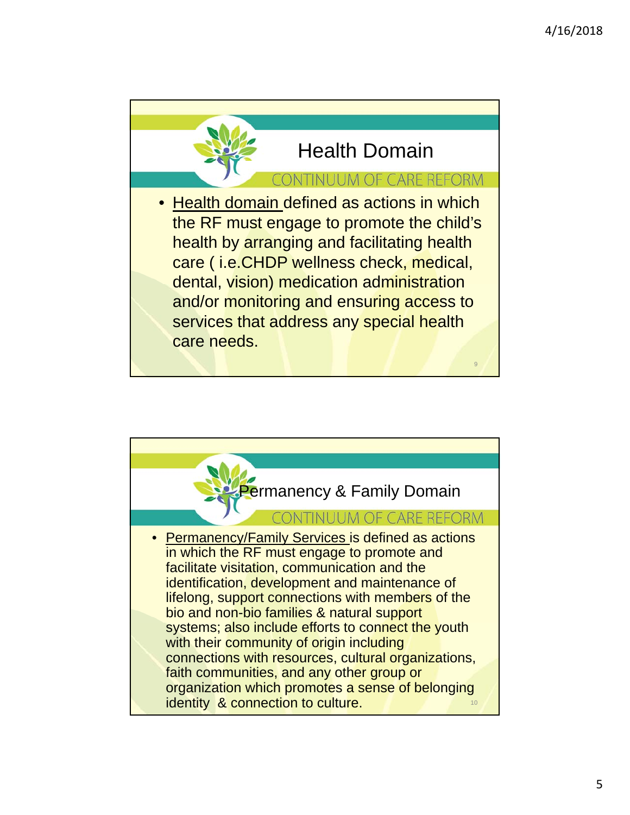

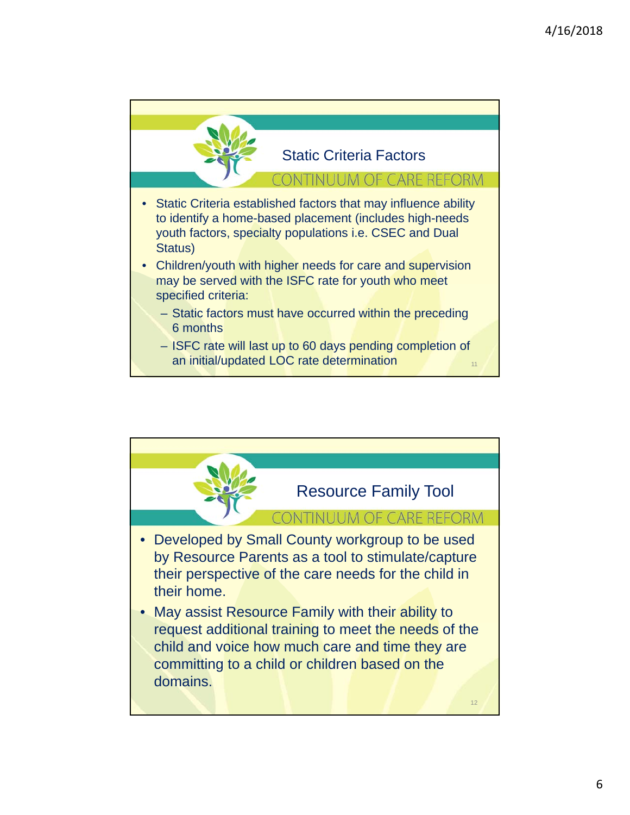